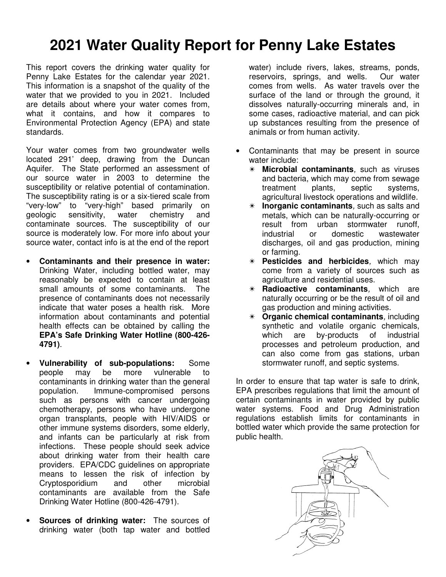## **2021 Water Quality Report for Penny Lake Estates**

This report covers the drinking water quality for Penny Lake Estates for the calendar year 2021. This information is a snapshot of the quality of the water that we provided to you in 2021. Included are details about where your water comes from, what it contains, and how it compares to Environmental Protection Agency (EPA) and state standards.

Your water comes from two groundwater wells located 291' deep, drawing from the Duncan Aquifer. The State performed an assessment of our source water in 2003 to determine the susceptibility or relative potential of contamination. The susceptibility rating is or a six-tiered scale from "very-low" to "very-high" based primarily on geologic sensitivity, water chemistry and contaminate sources. The susceptibility of our source is moderately low. For more info about your source water, contact info is at the end of the report

- **Contaminants and their presence in water:**  Drinking Water, including bottled water, may reasonably be expected to contain at least small amounts of some contaminants. The presence of contaminants does not necessarily indicate that water poses a health risk. More information about contaminants and potential health effects can be obtained by calling the **EPA's Safe Drinking Water Hotline (800-426- 4791)**.
- **Vulnerability of sub-populations:** Some people may be more vulnerable to contaminants in drinking water than the general population. Immune-compromised persons such as persons with cancer undergoing chemotherapy, persons who have undergone organ transplants, people with HIV/AIDS or other immune systems disorders, some elderly, and infants can be particularly at risk from infections. These people should seek advice about drinking water from their health care providers. EPA/CDC guidelines on appropriate means to lessen the risk of infection by Cryptosporidium and other microbial contaminants are available from the Safe Drinking Water Hotline (800-426-4791).
- **Sources of drinking water:** The sources of drinking water (both tap water and bottled

water) include rivers, lakes, streams, ponds, reservoirs, springs, and wells. Our water comes from wells. As water travels over the surface of the land or through the ground, it dissolves naturally-occurring minerals and, in some cases, radioactive material, and can pick up substances resulting from the presence of animals or from human activity.

- Contaminants that may be present in source water include:
	- ✴ **Microbial contaminants**, such as viruses and bacteria, which may come from sewage treatment plants, septic systems, agricultural livestock operations and wildlife.
	- **Inorganic contaminants**, such as salts and metals, which can be naturally-occurring or result from urban stormwater runoff,<br>industrial or domestic wastewater or domestic wastewater discharges, oil and gas production, mining or farming.
	- ✴ **Pesticides and herbicides**, which may come from a variety of sources such as agriculture and residential uses.
	- ✴ **Radioactive contaminants**, which are naturally occurring or be the result of oil and gas production and mining activities.
	- ✴ **Organic chemical contaminants**, including synthetic and volatile organic chemicals, which are by-products of industrial processes and petroleum production, and can also come from gas stations, urban stormwater runoff, and septic systems.

In order to ensure that tap water is safe to drink, EPA prescribes regulations that limit the amount of certain contaminants in water provided by public water systems. Food and Drug Administration regulations establish limits for contaminants in bottled water which provide the same protection for public health.

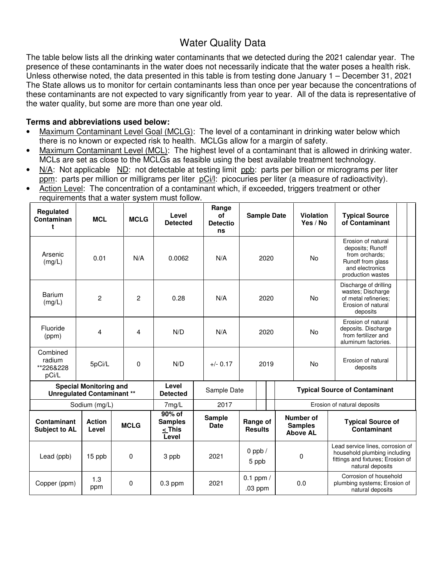## Water Quality Data

The table below lists all the drinking water contaminants that we detected during the 2021 calendar year. The presence of these contaminants in the water does not necessarily indicate that the water poses a health risk. Unless otherwise noted, the data presented in this table is from testing done January 1 – December 31, 2021 The State allows us to monitor for certain contaminants less than once per year because the concentrations of these contaminants are not expected to vary significantly from year to year. All of the data is representative of the water quality, but some are more than one year old.

## **Terms and abbreviations used below:**

- Maximum Contaminant Level Goal (MCLG): The level of a contaminant in drinking water below which there is no known or expected risk to health. MCLGs allow for a margin of safety.
- Maximum Contaminant Level (MCL): The highest level of a contaminant that is allowed in drinking water. MCLs are set as close to the MCLGs as feasible using the best available treatment technology.
- N/A: Not applicable ND: not detectable at testing limit ppb: parts per billion or micrograms per liter ppm: parts per million or milligrams per liter pCi/l: picocuries per liter (a measure of radioactivity).
- Action Level: The concentration of a contaminant which, if exceeded, triggers treatment or other requirements that a water system must follow.

| Regulated<br>Contaminan<br>t                                       | <b>MCL</b>             | <b>MCLG</b>    | Level<br><b>Detected</b>                      | Range<br><b>of</b><br><b>Detectio</b><br>ns | <b>Sample Date</b>         |      | Violation<br>Yes / No | <b>Typical Source</b><br>of Contaminant                                                                                        |                                      |                                                                                         |  |  |
|--------------------------------------------------------------------|------------------------|----------------|-----------------------------------------------|---------------------------------------------|----------------------------|------|-----------------------|--------------------------------------------------------------------------------------------------------------------------------|--------------------------------------|-----------------------------------------------------------------------------------------|--|--|
| Arsenic<br>(mg/L)                                                  | 0.01                   | N/A            | 0.0062                                        | N/A                                         | 2020                       |      | <b>No</b>             | Erosion of natural<br>deposits; Runoff<br>from orchards:<br>Runoff from glass<br>and electronics<br>production wastes          |                                      |                                                                                         |  |  |
| Barium<br>(mg/L)                                                   | $\overline{2}$         | $\overline{2}$ | 0.28                                          | N/A                                         | 2020                       |      | <b>No</b>             | Discharge of drilling<br>wastes: Discharge<br>of metal refineries;<br>Erosion of natural<br>deposits                           |                                      |                                                                                         |  |  |
| Fluoride<br>(ppm)                                                  | 4                      | 4              | N/D                                           | N/A                                         |                            | 2020 |                       |                                                                                                                                | <b>No</b>                            | Erosion of natural<br>deposits. Discharge<br>from fertilizer and<br>aluminum factories. |  |  |
| Combined<br>radium<br>**226&228<br>pCi/L                           | 5pCi/L                 | 0              | N/D                                           | $+/- 0.17$                                  | 2019                       |      | <b>No</b>             | Erosion of natural<br>deposits                                                                                                 |                                      |                                                                                         |  |  |
| <b>Special Monitoring and</b><br><b>Unregulated Contaminant **</b> |                        |                | Level<br><b>Detected</b>                      | Sample Date                                 |                            |      |                       |                                                                                                                                | <b>Typical Source of Contaminant</b> |                                                                                         |  |  |
|                                                                    | Sodium (mg/L)          |                | $7$ mg/L                                      | 2017                                        |                            |      |                       | Erosion of natural deposits                                                                                                    |                                      |                                                                                         |  |  |
| Contaminant<br><b>Subject to AL</b>                                | <b>Action</b><br>Level | <b>MCLG</b>    | 90% of<br><b>Samples</b><br>$<$ This<br>Level | <b>Sample</b><br><b>Date</b>                | Range of<br><b>Results</b> |      |                       | Number of<br><b>Typical Source of</b><br><b>Samples</b><br>Contaminant<br><b>Above AL</b>                                      |                                      |                                                                                         |  |  |
| Lead (ppb)                                                         | 15 ppb                 | 0              | 3 ppb                                         | 2021                                        | 0 ppb $/$<br>5 ppb         |      |                       | Lead service lines, corrosion of<br>household plumbing including<br>0<br>fittings and fixtures; Erosion of<br>natural deposits |                                      |                                                                                         |  |  |
| Copper (ppm)                                                       | 1.3<br>ppm             | 0              | $0.3$ ppm                                     | 2021                                        | $0.1$ ppm $/$<br>.03 ppm   |      |                       | Corrosion of household<br>0.0<br>plumbing systems; Erosion of<br>natural deposits                                              |                                      |                                                                                         |  |  |